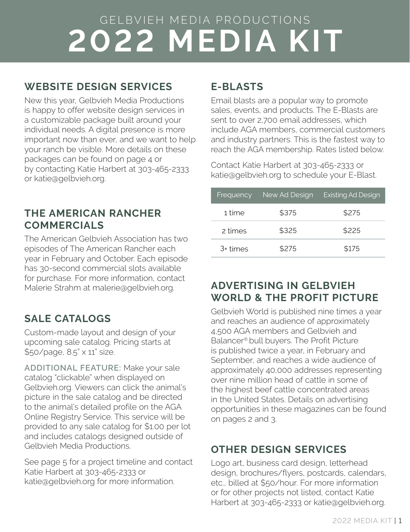# GELBVIEH MEDIA PRODUCTIONS **2022 MEDIA KIT**

## **WEBSITE DESIGN SERVICES**

New this year, Gelbvieh Media Productions is happy to offer website design services in a customizable package built around your individual needs. A digital presence is more important now than ever, and we want to help your ranch be visible. More details on these packages can be found on page 4 or by contacting Katie Harbert at 303-465-2333 or katie@gelbvieh.org.

## **THE AMERICAN RANCHER COMMERCIALS**

The American Gelbvieh Association has two episodes of The American Rancher each year in February and October. Each episode has 30-second commercial slots available for purchase. For more information, contact Malerie Strahm at malerie@gelbvieh.org.

## **SALE CATALOGS**

Custom-made layout and design of your upcoming sale catalog. Pricing starts at \$50/page, 8.5" x 11" size.

**ADDITIONAL FEATURE:** Make your sale catalog "clickable" when displayed on Gelbvieh.org. Viewers can click the animal's picture in the sale catalog and be directed to the animal's detailed profile on the AGA Online Registry Service. This service will be provided to any sale catalog for \$1.00 per lot and includes catalogs designed outside of Gelbvieh Media Productions.

See page 5 for a project timeline and contact Katie Harbert at 303-465-2333 or katie@gelbvieh.org for more information.

## **E-BLASTS**

Email blasts are a popular way to promote sales, events, and products. The E-Blasts are sent to over 2,700 email addresses, which include AGA members, commercial customers and industry partners. This is the fastest way to reach the AGA membership. Rates listed below.

Contact Katie Harbert at 303-465-2333 or katie@gelbvieh.org to schedule your E-Blast.

| Frequency | New Ad Design | <b>Existing Ad Design</b> |
|-----------|---------------|---------------------------|
| 1 time    | \$375         | \$275                     |
| 2 times   | \$325         | \$225                     |
| 3+ times  | \$275         | \$175                     |

## **ADVERTISING IN GELBVIEH WORLD & THE PROFIT PICTURE**

Gelbvieh World is published nine times a year and reaches an audience of approximately 4,500 AGA members and Gelbvieh and Balancer® bull buyers. The Profit Picture is published twice a year, in February and September, and reaches a wide audience of approximately 40,000 addresses representing over nine million head of cattle in some of the highest beef cattle concentrated areas in the United States. Details on advertising opportunities in these magazines can be found on pages 2 and 3.

## **OTHER DESIGN SERVICES**

Logo art, business card design, letterhead design, brochures/flyers, postcards, calendars, etc., billed at \$50/hour. For more information or for other projects not listed, contact Katie Harbert at 303-465-2333 or katie@gelbvieh.org.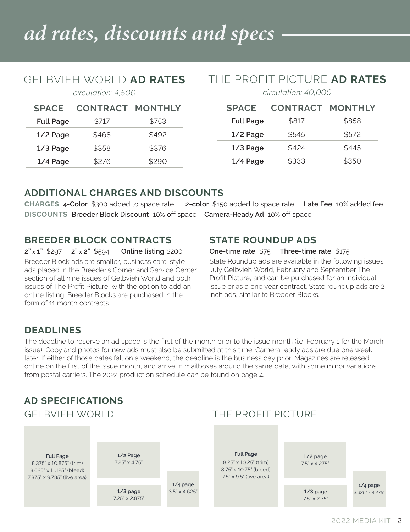## *ad rates, discounts and specs*

## GELBVIEH WORLD **AD RATES**

*circulation: 4,500*

## THE PROFIT PICTURE **AD RATES**

*circulation: 40,000*

| <b>SPACE</b>     | <b>CONTRACT MONTHLY</b> |       | <b>SPACE</b>     | <b>CONTRACT MONTHLY</b> |       |
|------------------|-------------------------|-------|------------------|-------------------------|-------|
| <b>Full Page</b> | \$717                   | \$753 | <b>Full Page</b> | \$817                   | \$858 |
| $1/2$ Page       | \$468                   | \$492 | $1/2$ Page       | \$545                   | \$572 |
| $1/3$ Page       | \$358                   | \$376 | $1/3$ Page       | \$424                   | \$445 |
| $1/4$ Page       | \$276                   | \$290 | $1/4$ Page       | \$333                   | \$350 |

### **ADDITIONAL CHARGES AND DISCOUNTS**

**CHARGES 4-Color** \$300 added to space rate **2-color** \$150 added to space rate **Late Fee** 10% added fee **DISCOUNTS Breeder Block Discount** 10% off space **Camera-Ready Ad** 10% off space

## **BREEDER BLOCK CONTRACTS**

#### **2" x 1"** \$297 **2" x 2"** \$594 **Online listing** \$200

Breeder Block ads are smaller, business card-style ads placed in the Breeder's Corner and Service Center section of all nine issues of Gelbvieh World and both issues of The Profit Picture, with the option to add an online listing. Breeder Blocks are purchased in the form of 11 month contracts.

### **STATE ROUNDUP ADS**

#### **One-time rate** \$75 **Three-time rate** \$175

State Roundup ads are available in the following issues: July Gelbvieh World, February and September The Profit Picture, and can be purchased for an individual issue or as a one year contract. State roundup ads are 2 inch ads, similar to Breeder Blocks.

### **DEADLINES**

The deadline to reserve an ad space is the first of the month prior to the issue month (i.e. February 1 for the March issue). Copy and photos for new ads must also be submitted at this time. Camera ready ads are due one week later. If either of those dates fall on a weekend, the deadline is the business day prior. Magazines are released online on the first of the issue month, and arrive in mailboxes around the same date, with some minor variations from postal carriers. The 2022 production schedule can be found on page 4.

### **AD SPECIFICATIONS** GELBVIEH WORLD THE PROFIT PICTURE



2022 MEDIA KIT | 2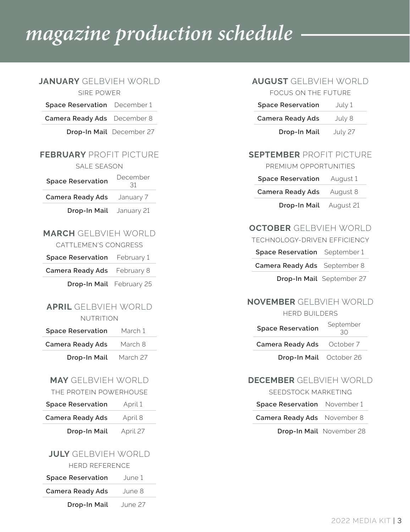## *magazine production schedule*

#### **JANUARY** GELBVIEH WORLD

SIRE POWER

**Space Reservation** December 1

**Camera Ready Ads** December 8

**Drop-In Mail** December 27

#### **FEBRUARY** PROFIT PICTURE

SALE SEASON

| <b>Space Reservation</b> | December<br>31 |  |
|--------------------------|----------------|--|
| <b>Camera Ready Ads</b>  | January 7      |  |

**Drop-In Mail** January 21

## **MARCH** GELBVIEH WORLD

CATTLEMEN'S CONGRESS

| Camera Ready Ads February 8 |  |
|-----------------------------|--|
|-----------------------------|--|

**Drop-In Mail** February 25

## **APRIL** GELBVIEH WORLD

NUTRITION

| <b>Space Reservation</b> | March 1  |
|--------------------------|----------|
| Camera Ready Ads         | March 8  |
| Drop-In Mail             | March 27 |

#### **MAY** GELBVIEH WORLD

THE PROTEIN POWERHOUSE

| <b>Space Reservation</b> | April 1  |
|--------------------------|----------|
| Camera Ready Ads         | April 8  |
| Drop-In Mail             | April 27 |

#### **JULY** GELBVIEH WORLD HERD REFERENCE

| <b>Space Reservation</b> | June 1 |
|--------------------------|--------|
| <b>Camera Ready Ads</b>  | June 8 |

**Drop-In Mail** June 27

#### **AUGUST** GELBVIEH WORLD

FOCUS ON THE FUTURE

| <b>Space Reservation</b> | July 1  |
|--------------------------|---------|
| Camera Ready Ads         | July 8  |
| Drop-In Mail             | July 27 |

#### **SEPTEMBER** PROFIT PICTURE

#### PREMIUM OPPORTUNITIES

| <b>Space Reservation</b> | August 1 |
|--------------------------|----------|
|--------------------------|----------|

**Camera Ready Ads** August 8

**Drop-In Mail** August 21

### **OCTOBER** GELBVIEH WORLD

#### TECHNOLOGY-DRIVEN EFFICIENCY

| <b>Space Reservation</b> September 1 |
|--------------------------------------|
|                                      |

**Camera Ready Ads** September 8

**Drop-In Mail** September 27

#### **NOVEMBER** GELBVIEH WORLD

#### HERD BUILDERS

| <b>Space Reservation</b>       | September<br>30 |  |
|--------------------------------|-----------------|--|
| Camera Ready Ads October 7     |                 |  |
| <b>Drop-In Mail</b> October 26 |                 |  |

#### **DECEMBER** GELBVIEH WORLD

SEEDSTOCK MARKETING

| November 1<br><b>Space Reservation</b> |
|----------------------------------------|
|----------------------------------------|

**Camera Ready Ads** November 8

**Drop-In Mail** November 28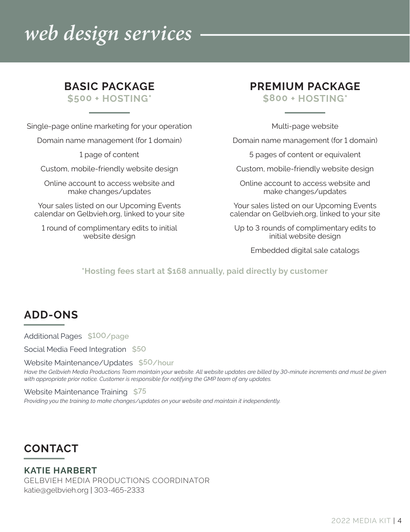## *web design services*

**\$500 + HOSTING\* \$800 + HOSTING\***

Single-page online marketing for your operation

Domain name management (for 1 domain)

1 page of content

Custom, mobile-friendly website design

Online account to access website and make changes/updates

Your sales listed on our Upcoming Events calendar on Gelbvieh.org, linked to your site

1 round of complimentary edits to initial website design

## **BASIC PACKAGE PREMIUM PACKAGE**

Multi-page website

Domain name management (for 1 domain)

5 pages of content or equivalent

Custom, mobile-friendly website design

Online account to access website and make changes/updates

Your sales listed on our Upcoming Events calendar on Gelbvieh.org, linked to your site

Up to 3 rounds of complimentary edits to initial website design

Embedded digital sale catalogs

**\*Hosting fees start at \$168 annually, paid directly by customer**

## **ADD-ONS**

Additional Pages **\$100/page**

Social Media Feed Integration **\$50**

Website Maintenance/Updates **\$50/hour**

*Have the Gelbvieh Media Productions Team maintain your website. All website updates are billed by 30-minute increments and must be given with appropriate prior notice. Customer is responsible for notifying the GMP team of any updates.*

Website Maintenance Training **\$75**

*Providing you the training to make changes/updates on your website and maintain it independently.*

## **CONTACT**

**KATIE HARBERT** GELBVIEH MEDIA PRODUCTIONS COORDINATOR katie@gelbvieh.org | 303-465-2333